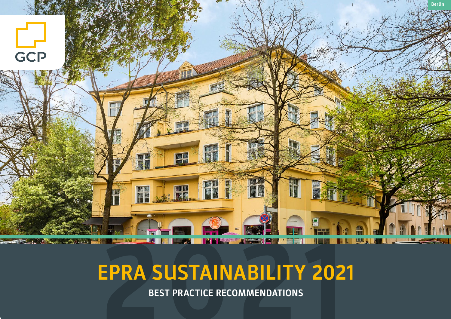

# **2021 EPRA SUSTAINABILITY 2021**

**BEST PRACTICE RECOMMENDATIONS**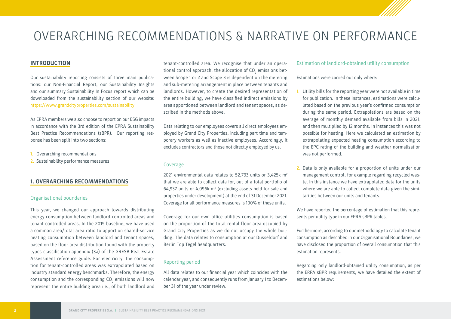# OVERARCHING RECOMMENDATIONS & NARRATIVE ON PERFORMANCE

#### **INTRODUCTION**

Our sustainability reporting consists of three main publications: our Non-Financial Report, our Sustainability Insights and our summary Sustainability In Focus report which can be downloaded from the sustainability section of our website: <https://www.grandcityproperties.com/sustainability>

As EPRA members we also choose to report on our ESG impacts in accordance with the 3rd edition of the EPRA Sustainability Best Practice Recommendations (sBPR). Our reporting response has been split into two sections:

- 1. Overarching recommendations
- 2. Sustainability performance measures

#### **1. OVERARCHING RECOMMENDATIONS**

#### Organisational boundaries

This year, we changed our approach towards distributing energy consumption between landlord-controlled areas and tenant-controlled areas. In the 2019 baseline, we have used a common area/total area ratio to apportion shared-service heating consumption between landlord and tenant spaces, based on the floor area distribution found with the property types classification appendix (3a) of the GRESB Real Estate Assessment reference guide. For electricity, the consumption for tenant-controlled areas was extrapolated based on industry standard energy benchmarks. Therefore, the energy consumption and the corresponding CO $_{_2}$  emissions will now represent the entire building area i.e., of both landlord and

tenant-controlled area. We recognise that under an operational control approach, the allocation of CO $_{\tiny 2}$  emissions between Scope 1 or 2 and Scope 3 is dependent on the metering and sub-metering arrangement in place between tenants and landlords. However, to create the desired representation of the entire building, we have classified indirect emissions by area apportioned between landlord and tenant spaces, as described in the methods above.

Data relating to our employees covers all direct employees employed by Grand City Properties, including part time and temporary workers as well as inactive employees. Accordingly, it excludes contractors and those not directly employed by us.

#### Coverage

2021 environmental data relates to 52,793 units or  $3.425$ k m<sup>2</sup> that we are able to collect data for, out of a total portfolio of  $64,937$  units or  $4,096k$  m<sup>2</sup> (excluding assets held for sale and properties under development) at the end of 31 December 2021. Coverage for all performance measures is 100% of these units.

Coverage for our own office utilities consumption is based on the proportion of the total rental floor area occupied by Grand City Properties as we do not occupy the whole building. The data relates to consumption at our Düsseldorf and Berlin Top Tegel headquarters.

#### Reporting period

All data relates to our financial year which coincides with the calendar year, and consequently runs from January 1 to December 31 of the year under review.

#### Estimation of landlord-obtained utility consumption

Estimations were carried out only where:

- 1. Utility bills for the reporting year were not available in time for publication. In these instances, estimations were calculated based on the previous year's confirmed consumption during the same period. Extrapolations are based on the average of monthly demand available from bills in 2021, and then multiplied by 12 months. In instances this was not possible for heating. Here we calculated an estimation by extrapolating expected heating consumption according to the EPC rating of the building and weather normalisation was not performed.
- 2. Data is only available for a proportion of units under our management control, for example regarding recycled waste. In this instance we have extrapolated data for the units where we are able to collect complete data given the similarities between our units and tenants.

We have reported the percentage of estimation that this represents per utility type in our EPRA sBPR tables.

Furthermore, according to our methodology to calculate tenant consumption as described in our Organisational Boundaries, we have disclosed the proportion of overall consumption that this estimation represents.

Regarding only landlord-obtained utility consumption, as per the ERPA sBPR requirements, we have detailed the extent of estimations below: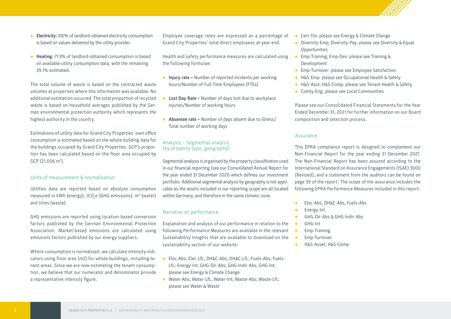**3 GRAND CITY PROPERTIES S.A.** | SUSTAINABILITY BEST PRACTICE RECOMMENDATIONS 2021

- **Electricity:** 100% of landlord-obtained electricity consumption is based on values delivered by the utility provider.
- **Heating:** 71.9% of landlord-obtained consumption is based on available utility consumption data, with the remaining 29.1% estimated.

The total volume of waste is based on the contracted waste volumes at properties where this information was available. No additional estimation occurred. The total proportion of recycled waste is based on household averages published by the German environmental protection authority which represents the highest authority in the country.

Estimations of utility data for Grand City Properties' own office consumption is estimated based on the whole building data for the buildings occupied by Grand City Properties. GCP's proportion has been calculated based on the floor area occupied by  $GCP$  (21,006 m<sup>2</sup>).

#### Units of measurement & normalisation

Utilities data are reported based on absolute consumption measured in kWh (energy), tCO<sub>2</sub>e (GHG emissions), m<sup>3</sup> (water) and litres (waste).

GHG emissions are reported using location-based conversion factors published by the German Environmental Protection Association. Market-based emissions are calculated using emissions factors published by our energy suppliers.

Where consumption is normalised, we calculate intensity indicators using floor area (m2) for whole buildings, including tenant areas. Since we are now estimating the tenant consumption, we believe that our numerator and denominator provide a representative intensity figure.

Employee coverage rates are expressed as a percentage of Grand City Properties' total direct employees at year end.

Health and safety performance measures are calculated using the following formulae:

- **Injury rate** = Number of reported incidents per working hours/Number of Full Time Employees (FTEs)
- **Lost Day Rate** = Number of days lost due to workplace injuries/Number of working hours
- **Absentee rate** = Number of days absent due to illness/ Total number of working days

#### Analysis – Segmental analysis (by property type, geography)

Segmental analysis is organised by the property classification used in our financial reporting (see our Consolidated Annual Report for the year ended 31 December 2021) which defines our investment portfolio. Additional segmental analysis by geography is not applicable as the assets included in our reporting scope are all located within Germany, and therefore in the same climatic zone.

#### Narrative on performance

Explanation and analysis of our performance in relation to the following Performance Measures are available in the relevant Sustainability Insights that are available to download on the sustainability section of our website:

- Elec-Abs; Elec-LfL; DH&C-Abs; DH&C-LfL; Fuels-Abs; Fuels-LfL; Energy-Int; GHG-Dir-Abs; GHG-Indir-Abs; GHG-Int: please see Energy & Climate Change
- Water-Abs; Water-LfL; Water-Int; Waste-Abs; Waste-LfL: please see Water & Waste
- Cert-Tot: please see Energy & Climate Change
- Diversity-Emp; Diversity-Pay: please see Diversity & Equal **Opportunities**
- Emp-Training; Emp-Dev: please see Training & Development
- Emp-Turnover: please see Employee Satisfaction
- H&S-Emp: please see Occupational Health & Safety
- H&S-Asst; H&S-Comp: please see Tenant Health & Safety
- Comty-Eng: please see Local Communities

Please see our Consolidated Financial Statements for the Year Ended December 31, 2021 for further information on our Board composition and selection process.

#### Assurance

This EPRA compliance report is designed to complement our Non-Financial Report for the year ending 31 December 2021. The Non-Financial Report has been assured according to the International Standard on Assurance Engagements (ISAE) 3000 (Revised), and a statement from the auditors can be found on page 39 of the report. The scope of the assurance includes the following EPRA Performance Measures included in this report:

- **●** Elec-Abs, DH&C-Abs, Fuels-Abs
- **●** Energy-Int
- **●** GHG-Dir-Abs & GHG-Indir-Abs
- **●** GHG-Int
- **●** Emp-Training
- **●** Emp-Turnover
- **●** H&S-Asset, H&S-Comp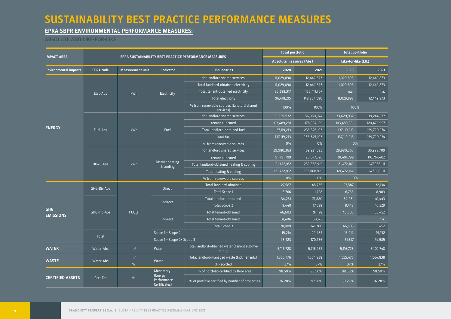# **SUSTAINABILITY BEST PRACTICE PERFORMANCE MEASURES**

# **EPRA SBPR ENVIRONMENTAL PERFORMANCE MEASURES:**

# **ABSOLUTE AND LIKE-FOR-LIKE**

|                                |                  | <b>Total portfolio</b>  |                                         | <b>Total portfolio</b>                                  |                         |               |                     |             |  |
|--------------------------------|------------------|-------------------------|-----------------------------------------|---------------------------------------------------------|-------------------------|---------------|---------------------|-------------|--|
| <b>IMPACT AREA</b>             |                  |                         |                                         | EPRA SUSTAINABILITY BEST PRACTICE PERFORMANCE MEASURES  | Absolute measures (Abs) |               | Like-for-like (LfL) |             |  |
| <b>Environmental impacts</b>   | <b>EPRA code</b> | <b>Measurement unit</b> | <b>Indicator</b>                        | <b>Boundaries</b>                                       | 2020                    | 2021          | 2020                | 2021        |  |
|                                |                  |                         |                                         | for landlord shared services                            | 11,029,898              | 12,442,873    | 11,029,898          | 12,442,873  |  |
|                                |                  |                         |                                         | Total landlord-obtained electricity                     | 11,029,898              | 12,442,873    | 11,029,898          | 12.442.873  |  |
|                                | Elec-Abs         | kWh                     | Electricity                             | Total tenant-obtained electricity                       | 85,388,317              | 136,411,707   | n.a.                | n.a.        |  |
|                                |                  |                         |                                         | Total electricity                                       | 96,418,215              | 148,854,580   | 11,029,898          | 12,442,873  |  |
|                                |                  |                         |                                         | % from renewable sources (landlord shared<br>services)  | 100%                    | 100%          | 100%                |             |  |
| <b>ENERGY</b>                  |                  |                         |                                         | for landlord shared services                            | 33,629,932              | 56,980,974    | 33,629,932          | 39,244,977  |  |
|                                |                  |                         |                                         | tenant allocated                                        | 103,489,281             | 178, 364, 129 | 103,489,281         | 120,475,997 |  |
|                                | Fuel-Abs         | kWh                     | Fuel                                    | Total landlord-obtained fuel                            | 137,119,213             | 235, 345, 103 | 137,119,213         | 159,720,974 |  |
|                                |                  |                         |                                         | <b>Total fuel</b>                                       | 137, 119, 213           | 235,345,103   | 137, 119, 213       | 159,720,974 |  |
|                                |                  |                         |                                         | % from renewable sources                                | 0%                      | 0%            | 0%                  |             |  |
|                                | DH&C-Abs         | kWh                     | District heating<br>& cooling           | for landlord shared services                            | 29,980,363              | 62,221,593    | 29,980,363          | 36,298,709  |  |
|                                |                  |                         |                                         | tenant allocated                                        | 91,491,799              | 190,647,326   | 91,491,799          | 110,767,402 |  |
|                                |                  |                         |                                         | Total landlord-obtained heating & cooling               | 121,472,162             | 252,868,919   | 121,472,162         | 147,066,111 |  |
|                                |                  |                         |                                         | Total heating & cooling                                 | 121,472,162             | 252,868,919   | 121,472,162         | 147,066,111 |  |
|                                |                  |                         |                                         | % from renewable sources                                | 0%                      | 0%            | 0%                  |             |  |
|                                | GHG-Dir-Abs      |                         | <b>Direct</b>                           | Total landlord-obtained                                 | 27,587                  | 48,735        | 27,587              | 32,134      |  |
|                                |                  | t CO <sub>2</sub> e     |                                         | <b>Total Scope 1</b>                                    | 6,766                   | 11,798        | 6,766               | 8,903       |  |
|                                |                  |                         | Indirect                                | Total landlord-obtained                                 | 34,231                  | 71,880        | 34,231              | 41,443      |  |
|                                |                  |                         |                                         | Total Scope 2                                           | 8,448                   | 17,688        | 8,448               | 10,229      |  |
| <b>GHG</b><br><b>EMISSIONS</b> | GHG-Ind-Abs      |                         |                                         | Total tenant-obtained                                   | 46,603                  | 91,128        | 46.603              | 55.452      |  |
|                                |                  |                         | Indirect                                | Total tenant-obtained                                   | 31,406                  | 50,172        |                     | n.a.        |  |
|                                |                  |                         |                                         | Total Scope 3                                           | 78,009                  | 141,300       | 46,603              | 55,452      |  |
|                                | Total            |                         | Scope 1 + Scope 2                       |                                                         | 15,214                  | 29,487        | 15,214              | 19,132      |  |
|                                |                  |                         | Scope 1 + Scope 2+ Scope 3              |                                                         | 93,223                  | 170,786       | 61,817              | 74,585      |  |
| <b>WATER</b>                   | Water-Abs        | m <sup>3</sup>          | Water                                   | Total landlord-obtained water (Tenant sub-me-<br>tered) | 5,116,728               | 5,718,452     | 5,116,728           | 5,102,748   |  |
| <b>WASTE</b>                   | Water-Abs        | m <sup>3</sup>          | Waste                                   | Total landlord-managed waste (Incl. Tenants)            | 1,555,476               | 1,564,838     | 1,555,476           | 1,564,838   |  |
|                                |                  | %                       |                                         | % Recycled                                              | 37%                     | 37%           | 37%                 | 37%         |  |
|                                |                  |                         | Mandatory                               | % of portfolio certified by floor area                  | 98.50%                  | 98.50%        | 98.50%              | 98.50%      |  |
| <b>CERTIFIED ASSETS</b>        | Cert-Tot         | $\%$                    | (Energy<br>Performance<br>Certificates) | % of portfolio certified by number of properties        | 97.28%                  | 97.28%        | 97.28%              | 97.28%      |  |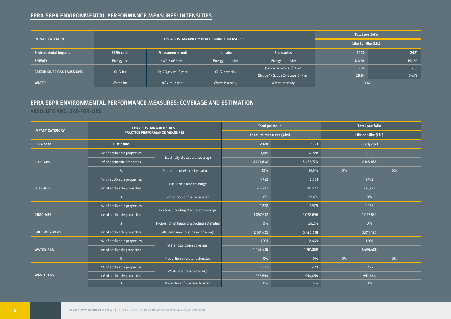## **EPRA SBPR ENVIRONMENTAL PERFORMANCE MEASURES: INTENSITIES**

|                                 |                  |                                                                        | <b>Total portfolio</b> |                                              |        |        |
|---------------------------------|------------------|------------------------------------------------------------------------|------------------------|----------------------------------------------|--------|--------|
| <b>IMPACT CATEGORY</b>          |                  | EPRA SUSTAINABILITY PERFORMANCE MEASURES                               | Like-for-like (LfL)    |                                              |        |        |
| <b>Environmental impacts</b>    | <b>EPRA code</b> | Measurement unit                                                       | <b>Indicator</b>       | <b>Boundaries</b>                            | 2020   | 2021   |
| <b>ENERGY</b>                   | Energy-Int       | kWh / $m^2$ / year                                                     | Energy Intensity       | Energy Intensity                             | 128.56 | 152.52 |
| <b>GREENHOUSE GAS EMISSIONS</b> |                  | kg CO <sub>2</sub> e / $m^2$ / year<br>GHG-int<br><b>GHG Intensity</b> |                        | $(Scope 1+Scope 2) / m2$                     | 7.56   | 9.51   |
|                                 |                  |                                                                        |                        | (Scope 1+ Scope 2+ Scope 3) / m <sup>2</sup> | 28.84  | 34.79  |
| <b>WATER</b>                    | Water-Int        | $m3$ / $m2$ / year                                                     | Water Intensity        | Water Intensity                              | 3.42   |        |

## **EPRA SBPR ENVIRONMENTAL PERFORMANCE MEASURES: COVERAGE AND ESTIMATION**

### **ABSOLUTE AND LIKE-FOR-LIKE**

| <b>IMPACT CATEGORY</b> |                                         | <b>EPRA SUSTAINABILITY BEST</b>           | <b>Total portfolio</b>  |           | <b>Total portfolio</b> |    |  |
|------------------------|-----------------------------------------|-------------------------------------------|-------------------------|-----------|------------------------|----|--|
|                        |                                         | <b>PRACTICE PERFORMANCE MEASURES</b>      | Absolute measures (Abs) |           | Like-for-like (LfL)    |    |  |
| <b>EPRA code</b>       | <b>Disclosure</b>                       |                                           | 2020                    | 2021      | 2020/2021              |    |  |
| <b>ELEC-ABS</b>        | Nº of applicable properties             | Electricity disclosure coverage           | 3,189                   | 4,728     | 3,189                  |    |  |
|                        | m <sup>2</sup> of applicable properties |                                           | 2,143,638               | 3,425,770 | 2,143,638              |    |  |
|                        | %                                       | Proportion of electricity estimated       | 92%                     | 91.6%     | 0%                     | 0% |  |
|                        | Nº of applicable properties             |                                           | 1,742                   | 2,561     | 1,742                  |    |  |
| <b>FUEL-ABS</b>        | m <sup>2</sup> of applicable properties | Fuel disclosure coverage                  | 913,792                 | 1,391,922 | 913,792                |    |  |
|                        | %                                       | Proportion of fuel estimated              | 0%                      | 22.6%     | 0%                     |    |  |
|                        | Nº of applicable properties             |                                           | 1,228                   | 2,579     | 1.228                  |    |  |
| <b>DH&amp;C-ABS</b>    | m <sup>2</sup> of applicable properties | Heating & cooling disclosure coverage     | 1,097,632               | 2,028,696 | 1,097,632              |    |  |
|                        | %                                       | Proportion of heating & cooling estimated | 0%                      | 35.2%     | 0%                     |    |  |
| <b>GHG EMISSIONS</b>   | m <sup>2</sup> of applicable properties | GHG emissions disclosure coverage         | 2,011,425               | 3,420,618 | 2,011,425              |    |  |
|                        | Nº of applicable properties             |                                           | 1,981                   | 2,469     | 1,981                  |    |  |
| <b>WATER-ABS</b>       | m <sup>2</sup> of applicable properties | Water disclosure coverage                 | 1,496,485               | 1,751,269 | 1,496,485              |    |  |
|                        | %                                       | Proportion of water estimated             | 0%                      | 0%        | 0%                     | 0% |  |
|                        | Nº of applicable properties             | Waste disclosure coverage                 | 1,422                   | 1,423     | 1,422                  |    |  |
| <b>WASTE-ABS</b>       | m <sup>2</sup> of applicable properties |                                           | 952,664                 | 954,054   | 952,664                |    |  |
|                        | %                                       | Proportion of waste estimated             | 0%                      | 0%        | 0%                     |    |  |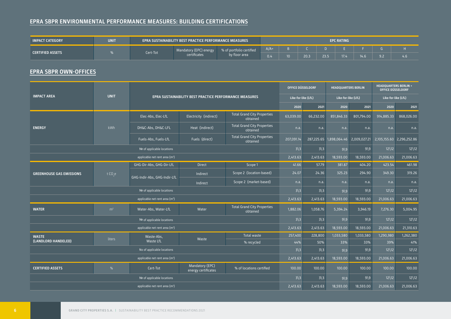# **EPRA SBPR ENVIRONMENTAL PERFORMANCE MEASURES: BUILDING CERTIFICATIONS**

| <b>IMPACT CATEGORY</b>  | <b>UNIT</b><br><b>EPC RATING</b><br>' EPRA SUSTAINABILITY BEST PRACTICE PERFORMANCE MEASURES . |  |                                        |                                           |        |  |      |      |      |       |     |                         |
|-------------------------|------------------------------------------------------------------------------------------------|--|----------------------------------------|-------------------------------------------|--------|--|------|------|------|-------|-----|-------------------------|
| <b>CERTIFIED ASSETS</b> | Cert-Tot                                                                                       |  | Mandatory (EPC) energy<br>:ertificates | % of portfolio certified<br>by floor area | $A/A+$ |  |      |      |      |       |     |                         |
|                         |                                                                                                |  |                                        |                                           | 0.4    |  | 20.3 | 23.5 | 17.4 | 14.6. | 9.2 | $\sim$<br>$4.6^{\circ}$ |

# **EPRA SBPR OWN-OFFICES**

|                                            |                 | EPRA SUSTAINABILITY BEST PRACTICE PERFORMANCE MEASURES |                                        |                                                | OFFICE DÜSSELDORF   |                  | <b>HEADQUARTERS BERLIN</b> |                           | <b>HEADOUARTERS BERLIN +</b><br><b>OFFICE DÜSSELDORF</b> |                           |
|--------------------------------------------|-----------------|--------------------------------------------------------|----------------------------------------|------------------------------------------------|---------------------|------------------|----------------------------|---------------------------|----------------------------------------------------------|---------------------------|
| <b>IMPACT AREA</b>                         | <b>UNIT</b>     |                                                        |                                        |                                                | Like-for-like (LfL) |                  | Like-for-like (LfL)        |                           | Like-for-like (LfL)                                      |                           |
|                                            |                 |                                                        |                                        |                                                |                     | 2021             | 2020                       | 2021                      | 2020                                                     | 2021                      |
|                                            |                 | Elec-Abs, Elec-LfL                                     | Electricity (indirect)                 | <b>Total Grand City Properties</b><br>obtained | 63,039.00           | 66,232.00        | 851,846.33                 | 801,794.00                | 914,885.33                                               | 868,026.00                |
| <b>ENERGY</b>                              | kWh             | DH&C-Abs, DH&C-LFL                                     | Heat (indirect)                        | <b>Total Grand City Properties</b><br>obtained | n.a.                | n.a.             | n.a.                       | n.a.                      | n.a.                                                     | n.a.                      |
|                                            |                 | Fuels-Abs, Fuels-LfL                                   | Fuels (direct)                         | <b>Total Grand City Properties</b><br>obtained | 207,091.14          | 287,225.65       |                            | 1,898,064.46 2,009,027.21 |                                                          | 2,105,155.60 2,296,252.86 |
|                                            |                 | Nº of applicable locations                             |                                        |                                                | $3\overline{3}$     | $3\overline{3}$  | 919                        | $9 \mid 9$                | $12\frac{12}{2}$                                         | $12\frac{12}{2}$          |
|                                            |                 | applicable net rent area (m <sup>2</sup> )             |                                        |                                                | 2,413.63            | 2,413.63         | 18,593.00                  | 18,593.00                 | 21,006.63                                                | 21,006.63                 |
|                                            | t $CO,e$        | GHG-Dir-Abs, GHG-Dir-LfL                               | <b>Direct</b>                          | Scope 1                                        | 41.66               | 57.79            | 381.87                     | 404.20                    | 423.54                                                   | 461.98                    |
| <b>GREENHOUSE GAS EMISSIONS</b>            |                 | GHG-Indir-Abs, GHG-Indir-LfL                           | Indirect                               | Scope 2 (location-based)                       | 24.07               | 24.36            | 325.23                     | 294.90                    | 349.30                                                   | 319.26                    |
|                                            |                 |                                                        | Indirect                               | Scope 2 (market-based)                         | n.a.                | n.a.             | n.a.                       | n.a.                      | n.a.                                                     | n.a.                      |
|                                            |                 | Nº of applicable locations                             |                                        |                                                | $3\overline{3}$     | $3\overline{)3}$ | $9\sqrt{9}$                | $9\sqrt{9}$               | $12\frac{12}{2}$                                         | $12\frac{12}{2}$          |
|                                            |                 | applicable net rent area (m <sup>2</sup> )             |                                        |                                                | 2,413.63            | 2,413.63         | 18,593.00                  | 18,593.00                 | 21,006.63                                                | 21,006.63                 |
| <b>WATER</b>                               | m <sup>2</sup>  | Water-Abs, Water-LfL                                   | Water                                  | <b>Total Grand City Properties</b><br>obtained | 1,882.06            | 1,058.76         | 5,394.24                   | 3,946.19                  | 7,276.30                                                 | 5,004.95                  |
|                                            |                 | $N2$ of applicable locations                           |                                        |                                                | $3\overline{3}$     | $3\overline{)3}$ | $9\sqrt{9}$                | $9\sqrt{9}$               | $12\frac{12}{2}$                                         | $12\frac{12}{2}$          |
|                                            |                 | applicable net rent area (m <sup>2</sup> )             |                                        |                                                | 2,413.63            | 2,413.63         | 18,593.00                  | 18,593.00                 | 21,006.63                                                | 21,310.63                 |
| <b>WASTE</b>                               | liters          | Waste-Abs,                                             | Waste                                  | Total waste                                    | 257,400             | 228,800          | 1,033,580                  | 1,033,580                 | 1,290,980                                                | 1,262,380                 |
| (LANDLORD HANDELED)                        |                 | Waste LfL                                              |                                        | % recycled                                     | 44%                 | 50%              | 33%                        | 33%                       | 39%                                                      | 41%                       |
|                                            | $3\overline{3}$ | $3\overline{)3}$                                       | 919                                    | $9\sqrt{9}$                                    | $12\backslash12$    | $12\frac{12}{2}$ |                            |                           |                                                          |                           |
| applicable net rent area (m <sup>2</sup> ) |                 |                                                        |                                        |                                                |                     | 2,413.63         | 18,593.00                  | 18,593.00                 | 21,006.63                                                | 21,006.63                 |
| <b>CERTIFIED ASSETS</b>                    | %               | Cert-Tot                                               | Mandatory (EPC)<br>energy certificates | % of locations certified                       | 100.00              | 100.00           | 100.00                     | 100.00                    | 100.00                                                   | 100.00                    |
| Nº of applicable locations                 |                 |                                                        |                                        |                                                |                     | $3\overline{)3}$ | $9\sqrt{9}$                | 919                       | $12\frac{12}{2}$                                         | $12\frac{12}{2}$          |
|                                            | 2,413.63        | 2,413.63                                               | 18,593.00                              | 18,593.00                                      | 21,006.63           | 21,006.63        |                            |                           |                                                          |                           |